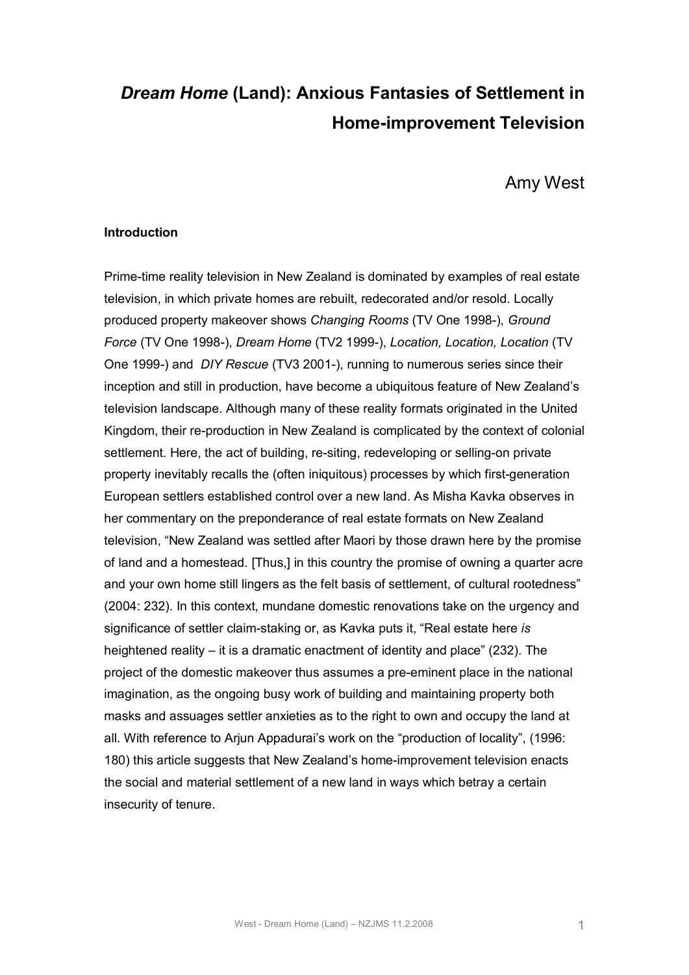# *Dream Home* **(Land): Anxious Fantasies of Settlement in Home-improvement Television**

Amy West

## **Introduction**

Prime-time reality television in New Zealand is dominated by examples of real estate television, in which private homes are rebuilt, redecorated and/or resold. Locally produced property makeover shows *Changing Rooms* (TV One 1998), *Ground Force* (TV One 1998), *Dream Home* (TV2 1999), *Location, Location, Location* (TV One 1999-) and *DIY Rescue* (TV3 2001-), running to numerous series since their inception and still in production, have become a ubiquitous feature of New Zealand's television landscape. Although many of these reality formats originated in the United Kingdom, their re-production in New Zealand is complicated by the context of colonial settlement. Here, the act of building, re-siting, redeveloping or selling-on private property inevitably recalls the (often iniquitous) processes by which first-generation European settlers established control over a new land. As Misha Kavka observes in her commentary on the preponderance of real estate formats on New Zealand television, "New Zealand was settled after Maori by those drawn here by the promise of land and a homestead. [Thus,] in this country the promise of owning a quarter acre and your own home still lingers as the felt basis of settlement, of cultural rootedness" (2004: 232). In this context, mundane domestic renovations take on the urgency and significance of settler claim-staking or, as Kavka puts it, "Real estate here is heightened reality – it is a dramatic enactment of identity and place" (232). The project of the domestic makeover thus assumes a pre-eminent place in the national imagination, as the ongoing busy work of building and maintaining property both masks and assuages settler anxieties as to the right to own and occupy the land at all. With reference to Arjun Appadurai's work on the "production of locality", (1996: 180) this article suggests that New Zealand's home-improvement television enacts the social and material settlement of a new land in ways which betray a certain insecurity of tenure.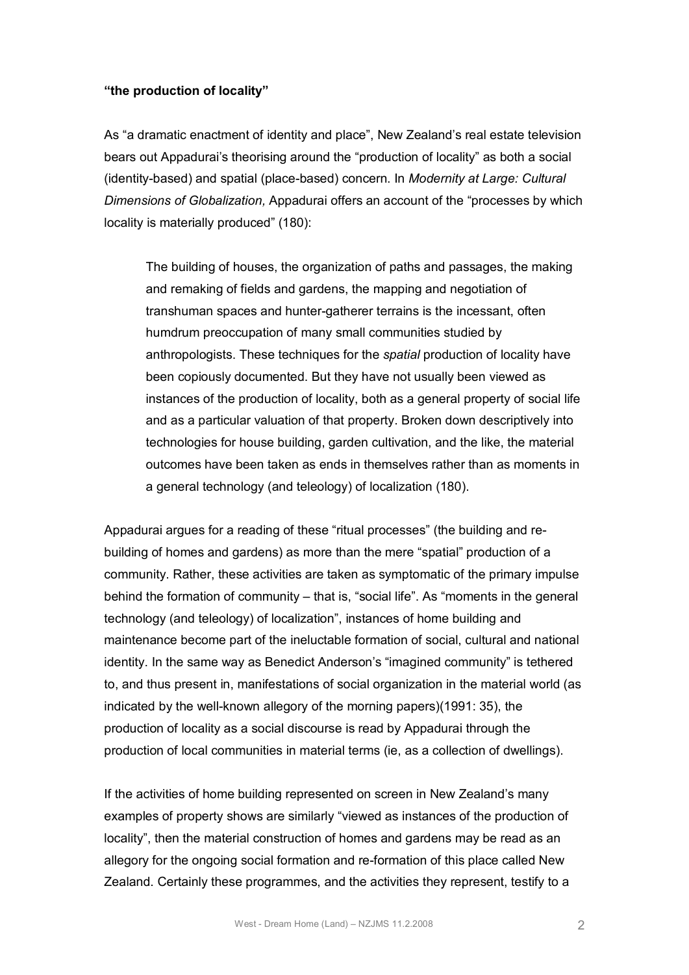### **"the production of locality"**

As "a dramatic enactment of identity and place", New Zealand's real estate television bears out Appadurai's theorising around the "production of locality" as both a social (identity-based) and spatial (place-based) concern. In *Modernity at Large: Cultural Dimensions of Globalization,* Appadurai offers an account of the "processes by which locality is materially produced" (180):

The building of houses, the organization of paths and passages, the making and remaking of fields and gardens, the mapping and negotiation of transhuman spaces and hunter-gatherer terrains is the incessant, often humdrum preoccupation of many small communities studied by anthropologists. These techniques for the *spatial* production of locality have been copiously documented. But they have not usually been viewed as instances of the production of locality, both as a general property of social life and as a particular valuation of that property. Broken down descriptively into technologies for house building, garden cultivation, and the like, the material outcomes have been taken as ends in themselves rather than as moments in a general technology (and teleology) of localization (180).

Appadurai argues for a reading of these "ritual processes" (the building and re building of homes and gardens) as more than the mere "spatial" production of a community. Rather, these activities are taken as symptomatic of the primary impulse behind the formation of community – that is, "social life". As "moments in the general technology (and teleology) of localization", instances of home building and maintenance become part of the ineluctable formation of social, cultural and national identity. In the same way as Benedict Anderson's "imagined community" is tethered to, and thus present in, manifestations of social organization in the material world (as indicated by the well-known allegory of the morning papers)(1991: 35), the production of locality as a social discourse is read by Appadurai through the production of local communities in material terms (ie, as a collection of dwellings).

If the activities of home building represented on screen in New Zealand's many examples of property shows are similarly "viewed as instances of the production of locality", then the material construction of homes and gardens may be read as an allegory for the ongoing social formation and reformation of this place called New Zealand. Certainly these programmes, and the activities they represent, testify to a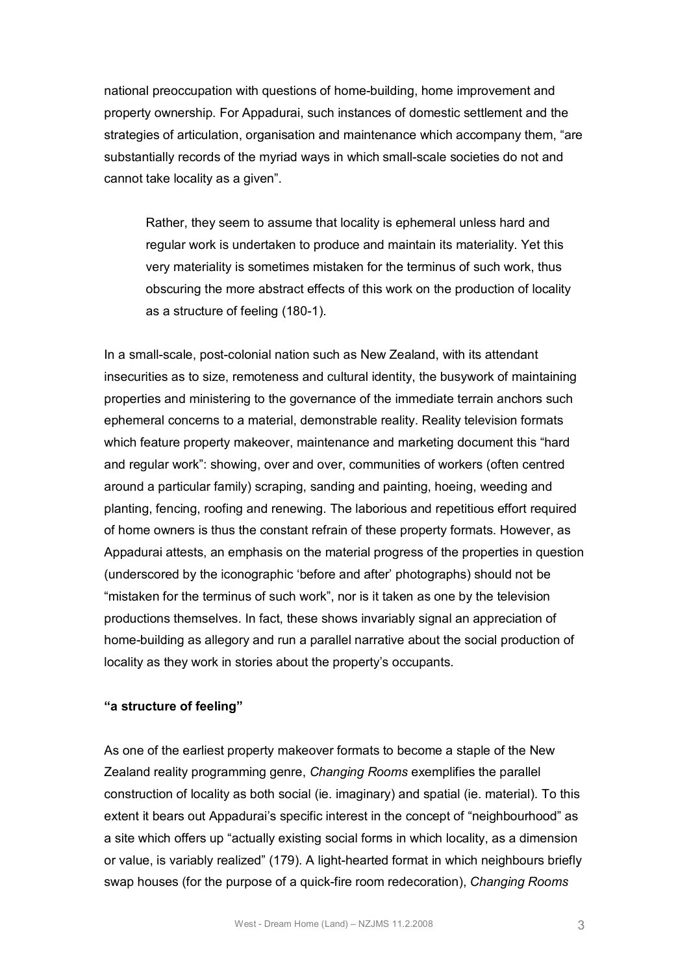national preoccupation with questions of home-building, home improvement and property ownership. For Appadurai, such instances of domestic settlement and the strategies of articulation, organisation and maintenance which accompany them, "are substantially records of the myriad ways in which small-scale societies do not and cannot take locality as a given".

Rather, they seem to assume that locality is ephemeral unless hard and regular work is undertaken to produce and maintain its materiality. Yet this very materiality is sometimes mistaken for the terminus of such work, thus obscuring the more abstract effects of this work on the production of locality as a structure of feeling (180-1).

In a small-scale, post-colonial nation such as New Zealand, with its attendant insecurities as to size, remoteness and cultural identity, the busywork of maintaining properties and ministering to the governance of the immediate terrain anchors such ephemeral concerns to a material, demonstrable reality. Reality television formats which feature property makeover, maintenance and marketing document this "hard and regular work": showing, over and over, communities of workers (often centred around a particular family) scraping, sanding and painting, hoeing, weeding and planting, fencing, roofing and renewing. The laborious and repetitious effort required of home owners is thus the constant refrain of these property formats. However, as Appadurai attests, an emphasis on the material progress of the properties in question (underscored by the iconographic 'before and after' photographs) should not be "mistaken for the terminus of such work", nor is it taken as one by the television productions themselves. In fact, these shows invariably signal an appreciation of home-building as allegory and run a parallel narrative about the social production of locality as they work in stories about the property's occupants.

# **"a structure of feeling"**

As one of the earliest property makeover formats to become a staple of the New Zealand reality programming genre, *Changing Rooms* exemplifies the parallel construction of locality as both social (ie. imaginary) and spatial (ie. material). To this extent it bears out Appadurai's specific interest in the concept of "neighbourhood" as a site which offers up "actually existing social forms in which locality, as a dimension or value, is variably realized" (179). A light-hearted format in which neighbours briefly swap houses (for the purpose of a quick-fire room redecoration), *Changing Rooms*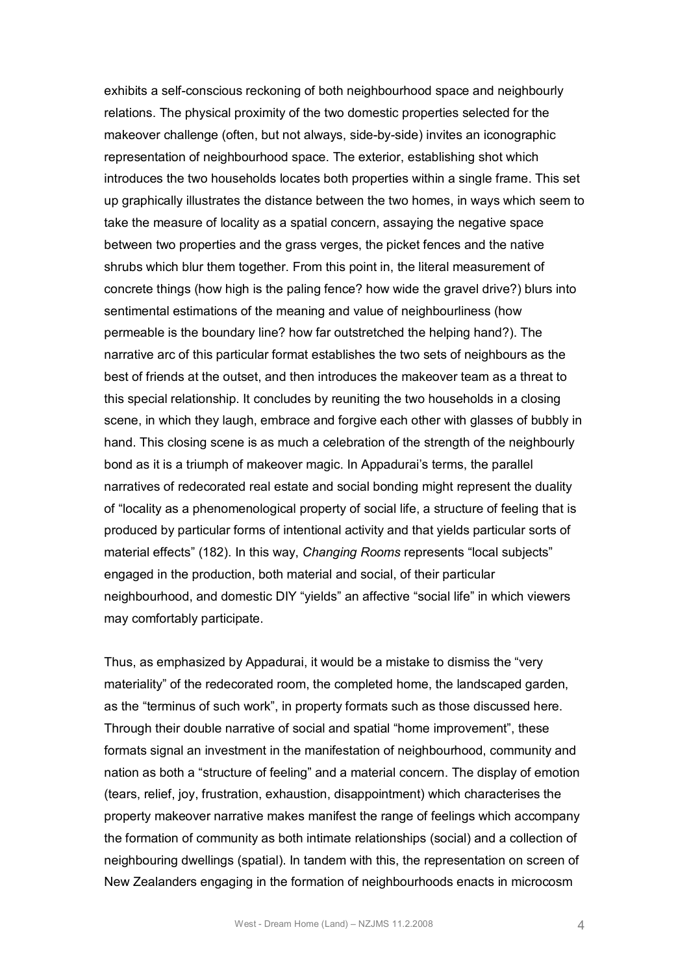exhibits a self-conscious reckoning of both neighbourhood space and neighbourly relations. The physical proximity of the two domestic properties selected for the makeover challenge (often, but not always, side-by-side) invites an iconographic representation of neighbourhood space. The exterior, establishing shot which introduces the two households locates both properties within a single frame. This set up graphically illustrates the distance between the two homes, in ways which seem to take the measure of locality as a spatial concern, assaying the negative space between two properties and the grass verges, the picket fences and the native shrubs which blur them together. From this point in, the literal measurement of concrete things (how high is the paling fence? how wide the gravel drive?) blurs into sentimental estimations of the meaning and value of neighbourliness (how permeable is the boundary line? how far outstretched the helping hand?). The narrative arc of this particular format establishes the two sets of neighbours as the best of friends at the outset, and then introduces the makeover team as a threat to this special relationship. It concludes by reuniting the two households in a closing scene, in which they laugh, embrace and forgive each other with glasses of bubbly in hand. This closing scene is as much a celebration of the strength of the neighbourly bond as it is a triumph of makeover magic. In Appadurai's terms, the parallel narratives of redecorated real estate and social bonding might represent the duality of "locality as a phenomenological property of social life, a structure of feeling that is produced by particular forms of intentional activity and that yields particular sorts of material effects" (182). In this way, *Changing Rooms* represents "local subjects" engaged in the production, both material and social, of their particular neighbourhood, and domestic DIY "yields" an affective "social life" in which viewers may comfortably participate.

Thus, as emphasized by Appadurai, it would be a mistake to dismiss the "very materiality" of the redecorated room, the completed home, the landscaped garden, as the "terminus of such work", in property formats such as those discussed here. Through their double narrative of social and spatial "home improvement", these formats signal an investment in the manifestation of neighbourhood, community and nation as both a "structure of feeling" and a material concern. The display of emotion (tears, relief, joy, frustration, exhaustion, disappointment) which characterises the property makeover narrative makes manifest the range of feelings which accompany the formation of community as both intimate relationships (social) and a collection of neighbouring dwellings (spatial). In tandem with this, the representation on screen of New Zealanders engaging in the formation of neighbourhoods enacts in microcosm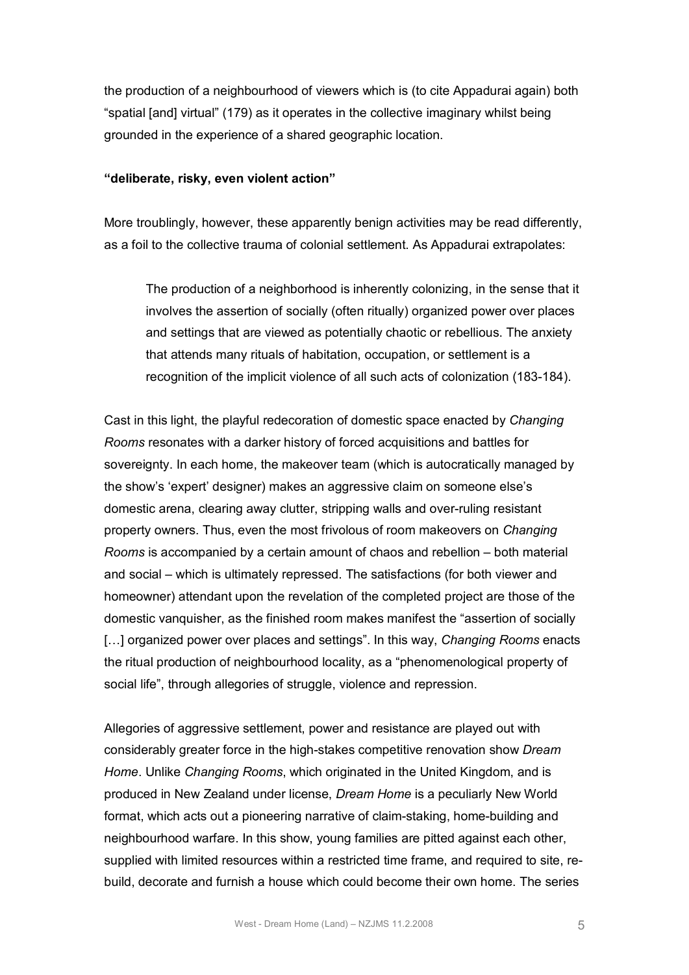the production of a neighbourhood of viewers which is (to cite Appadurai again) both "spatial [and] virtual" (179) as it operates in the collective imaginary whilst being grounded in the experience of a shared geographic location.

#### **"deliberate, risky, even violent action"**

More troublingly, however, these apparently benign activities may be read differently, as a foil to the collective trauma of colonial settlement. As Appadurai extrapolates:

The production of a neighborhood is inherently colonizing, in the sense that it involves the assertion of socially (often ritually) organized power over places and settings that are viewed as potentially chaotic or rebellious. The anxiety that attends many rituals of habitation, occupation, or settlement is a recognition of the implicit violence of all such acts of colonization (183-184).

Cast in this light, the playful redecoration of domestic space enacted by *Changing Rooms* resonates with a darker history of forced acquisitions and battles for sovereignty. In each home, the makeover team (which is autocratically managed by the show's 'expert' designer) makes an aggressive claim on someone else's domestic arena, clearing away clutter, stripping walls and over-ruling resistant property owners. Thus, even the most frivolous of room makeovers on *Changing Rooms* is accompanied by a certain amount of chaos and rebellion – both material and social – which is ultimately repressed. The satisfactions (for both viewer and homeowner) attendant upon the revelation of the completed project are those of the domestic vanquisher, as the finished room makes manifest the "assertion of socially […] organized power over places and settings". In this way, *Changing Rooms* enacts the ritual production of neighbourhood locality, as a "phenomenological property of social life", through allegories of struggle, violence and repression.

Allegories of aggressive settlement, power and resistance are played out with considerably greater force in the high-stakes competitive renovation show *Dream Home*. Unlike *Changing Rooms*, which originated in the United Kingdom, and is produced in New Zealand under license, *Dream Home* is a peculiarly New World format, which acts out a pioneering narrative of claim-staking, home-building and neighbourhood warfare. In this show, young families are pitted against each other, supplied with limited resources within a restricted time frame, and required to site, rebuild, decorate and furnish a house which could become their own home. The series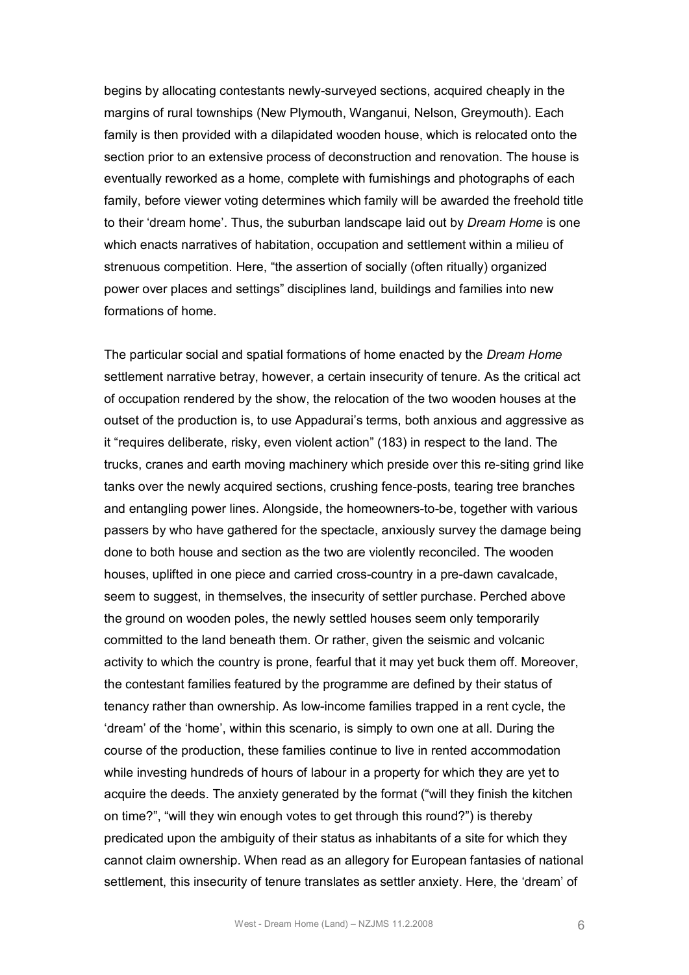begins by allocating contestants newlysurveyed sections, acquired cheaply in the margins of rural townships (New Plymouth, Wanganui, Nelson, Greymouth). Each family is then provided with a dilapidated wooden house, which is relocated onto the section prior to an extensive process of deconstruction and renovation. The house is eventually reworked as a home, complete with furnishings and photographs of each family, before viewer voting determines which family will be awarded the freehold title to their 'dream home'. Thus, the suburban landscape laid out by *Dream Home* is one which enacts narratives of habitation, occupation and settlement within a milieu of strenuous competition. Here, "the assertion of socially (often ritually) organized power over places and settings" disciplines land, buildings and families into new formations of home.

The particular social and spatial formations of home enacted by the *Dream Home* settlement narrative betray, however, a certain insecurity of tenure. As the critical act of occupation rendered by the show, the relocation of the two wooden houses at the outset of the production is, to use Appadurai's terms, both anxious and aggressive as it "requires deliberate, risky, even violent action" (183) in respect to the land. The trucks, cranes and earth moving machinery which preside over this re-siting grind like tanks over the newly acquired sections, crushing fence-posts, tearing tree branches and entangling power lines. Alongside, the homeowners-to-be, together with various passers by who have gathered for the spectacle, anxiously survey the damage being done to both house and section as the two are violently reconciled. The wooden houses, uplifted in one piece and carried cross-country in a pre-dawn cavalcade, seem to suggest, in themselves, the insecurity of settler purchase. Perched above the ground on wooden poles, the newly settled houses seem only temporarily committed to the land beneath them. Or rather, given the seismic and volcanic activity to which the country is prone, fearful that it may yet buck them off. Moreover, the contestant families featured by the programme are defined by their status of tenancy rather than ownership. As low-income families trapped in a rent cycle, the 'dream' of the 'home', within this scenario, is simply to own one at all. During the course of the production, these families continue to live in rented accommodation while investing hundreds of hours of labour in a property for which they are yet to acquire the deeds. The anxiety generated by the format ("will they finish the kitchen on time?", "will they win enough votes to get through this round?") is thereby predicated upon the ambiguity of their status as inhabitants of a site for which they cannot claim ownership. When read as an allegory for European fantasies of national settlement, this insecurity of tenure translates as settler anxiety. Here, the 'dream' of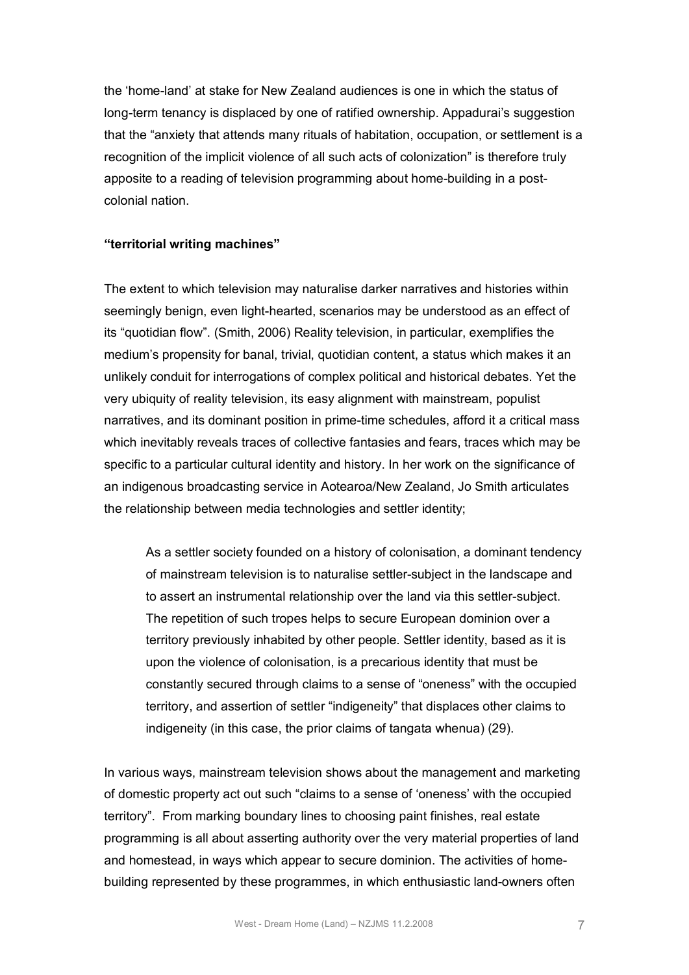the 'home-land' at stake for New Zealand audiences is one in which the status of long-term tenancy is displaced by one of ratified ownership. Appadurai's suggestion that the "anxiety that attends many rituals of habitation, occupation, or settlement is a recognition of the implicit violence of all such acts of colonization" is therefore truly apposite to a reading of television programming about home-building in a postcolonial nation.

#### **"territorial writing machines"**

The extent to which television may naturalise darker narratives and histories within seemingly benign, even light-hearted, scenarios may be understood as an effect of its "quotidian flow". (Smith, 2006) Reality television, in particular, exemplifies the medium's propensity for banal, trivial, quotidian content, a status which makes it an unlikely conduit for interrogations of complex political and historical debates. Yet the very ubiquity of reality television, its easy alignment with mainstream, populist narratives, and its dominant position in prime-time schedules, afford it a critical mass which inevitably reveals traces of collective fantasies and fears, traces which may be specific to a particular cultural identity and history. In her work on the significance of an indigenous broadcasting service in Aotearoa/New Zealand, Jo Smith articulates the relationship between media technologies and settler identity;

As a settler society founded on a history of colonisation, a dominant tendency of mainstream television is to naturalise settler-subject in the landscape and to assert an instrumental relationship over the land via this settler-subject. The repetition of such tropes helps to secure European dominion over a territory previously inhabited by other people. Settler identity, based as it is upon the violence of colonisation, is a precarious identity that must be constantly secured through claims to a sense of "oneness" with the occupied territory, and assertion of settler "indigeneity" that displaces other claims to indigeneity (in this case, the prior claims of tangata whenua) (29).

In various ways, mainstream television shows about the management and marketing of domestic property act out such "claims to a sense of 'oneness' with the occupied territory". From marking boundary lines to choosing paint finishes, real estate programming is all about asserting authority over the very material properties of land and homestead, in ways which appear to secure dominion. The activities of home building represented by these programmes, in which enthusiastic land-owners often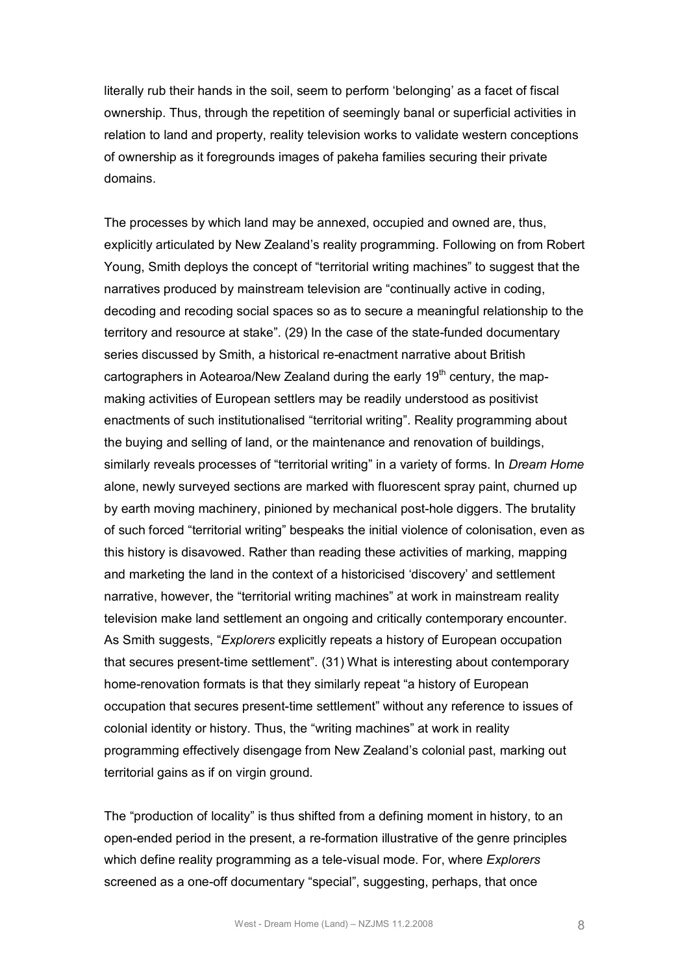literally rub their hands in the soil, seem to perform 'belonging' as a facet of fiscal ownership. Thus, through the repetition of seemingly banal or superficial activities in relation to land and property, reality television works to validate western conceptions of ownership as it foregrounds images of pakeha families securing their private domains.

The processes by which land may be annexed, occupied and owned are, thus, explicitly articulated by New Zealand's reality programming. Following on from Robert Young, Smith deploys the concept of "territorial writing machines" to suggest that the narratives produced by mainstream television are "continually active in coding, decoding and recoding social spaces so as to secure a meaningful relationship to the territory and resource at stake". (29) In the case of the state-funded documentary series discussed by Smith, a historical re-enactment narrative about British cartographers in Aotearoa/New Zealand during the early 19<sup>th</sup> century, the mapmaking activities of European settlers may be readily understood as positivist enactments of such institutionalised "territorial writing". Reality programming about the buying and selling of land, or the maintenance and renovation of buildings, similarly reveals processes of "territorial writing" in a variety of forms. In *Dream Home* alone, newly surveyed sections are marked with fluorescent spray paint, churned up by earth moving machinery, pinioned by mechanical post-hole diggers. The brutality of such forced "territorial writing" bespeaks the initial violence of colonisation, even as this history is disavowed. Rather than reading these activities of marking, mapping and marketing the land in the context of a historicised 'discovery' and settlement narrative, however, the "territorial writing machines" at work in mainstream reality television make land settlement an ongoing and critically contemporary encounter. As Smith suggests, "*Explorers* explicitly repeats a history of European occupation that secures present-time settlement". (31) What is interesting about contemporary home-renovation formats is that they similarly repeat "a history of European occupation that secures present-time settlement" without any reference to issues of colonial identity or history. Thus, the "writing machines" at work in reality programming effectively disengage from New Zealand's colonial past, marking out territorial gains as if on virgin ground.

The "production of locality" is thus shifted from a defining moment in history, to an openended period in the present, a reformation illustrative of the genre principles which define reality programming as a tele-visual mode. For, where *Explorers* screened as a one-off documentary "special", suggesting, perhaps, that once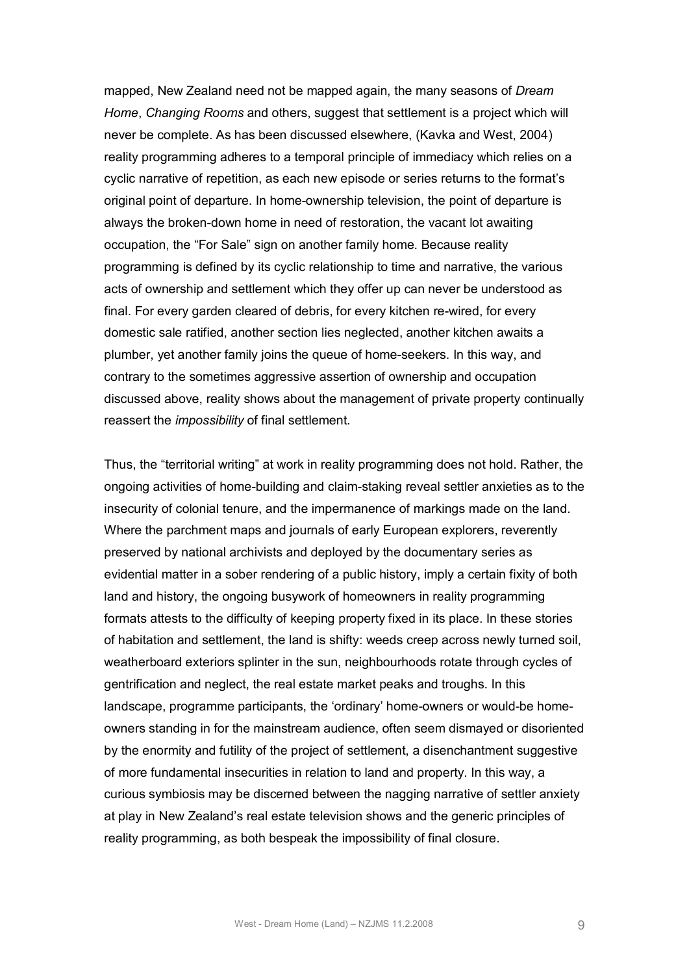mapped, New Zealand need not be mapped again, the many seasons of *Dream Home*, *Changing Rooms* and others, suggest that settlement is a project which will never be complete. As has been discussed elsewhere, (Kavka and West, 2004) reality programming adheres to a temporal principle of immediacy which relies on a cyclic narrative of repetition, as each new episode or series returns to the format's original point of departure. In home-ownership television, the point of departure is always the broken-down home in need of restoration, the vacant lot awaiting occupation, the "For Sale" sign on another family home. Because reality programming is defined by its cyclic relationship to time and narrative, the various acts of ownership and settlement which they offer up can never be understood as final. For every garden cleared of debris, for every kitchen re-wired, for every domestic sale ratified, another section lies neglected, another kitchen awaits a plumber, yet another family joins the queue of homeseekers. In this way, and contrary to the sometimes aggressive assertion of ownership and occupation discussed above, reality shows about the management of private property continually reassert the *impossibility* of final settlement.

Thus, the "territorial writing" at work in reality programming does not hold. Rather, the ongoing activities of home-building and claim-staking reveal settler anxieties as to the insecurity of colonial tenure, and the impermanence of markings made on the land. Where the parchment maps and journals of early European explorers, reverently preserved by national archivists and deployed by the documentary series as evidential matter in a sober rendering of a public history, imply a certain fixity of both land and history, the ongoing busywork of homeowners in reality programming formats attests to the difficulty of keeping property fixed in its place. In these stories of habitation and settlement, the land is shifty: weeds creep across newly turned soil, weatherboard exteriors splinter in the sun, neighbourhoods rotate through cycles of gentrification and neglect, the real estate market peaks and troughs. In this landscape, programme participants, the 'ordinary' home-owners or would-be homeowners standing in for the mainstream audience, often seem dismayed or disoriented by the enormity and futility of the project of settlement, a disenchantment suggestive of more fundamental insecurities in relation to land and property. In this way, a curious symbiosis may be discerned between the nagging narrative of settler anxiety at play in New Zealand's real estate television shows and the generic principles of reality programming, as both bespeak the impossibility of final closure.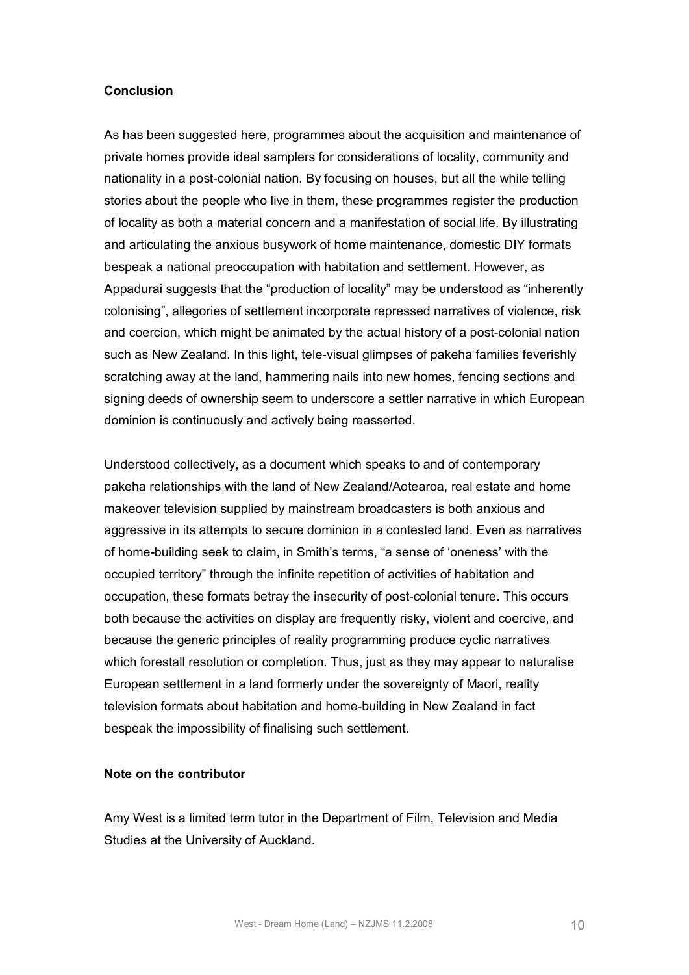#### **Conclusion**

As has been suggested here, programmes about the acquisition and maintenance of private homes provide ideal samplers for considerations of locality, community and nationality in a post-colonial nation. By focusing on houses, but all the while telling stories about the people who live in them, these programmes register the production of locality as both a material concern and a manifestation of social life. By illustrating and articulating the anxious busywork of home maintenance, domestic DIY formats bespeak a national preoccupation with habitation and settlement. However, as Appadurai suggests that the "production of locality" may be understood as "inherently colonising", allegories of settlement incorporate repressed narratives of violence, risk and coercion, which might be animated by the actual history of a post-colonial nation such as New Zealand. In this light, tele-visual glimpses of pakeha families feverishly scratching away at the land, hammering nails into new homes, fencing sections and signing deeds of ownership seem to underscore a settler narrative in which European dominion is continuously and actively being reasserted.

Understood collectively, as a document which speaks to and of contemporary pakeha relationships with the land of New Zealand/Aotearoa, real estate and home makeover television supplied by mainstream broadcasters is both anxious and aggressive in its attempts to secure dominion in a contested land. Even as narratives of home-building seek to claim, in Smith's terms, "a sense of 'oneness' with the occupied territory" through the infinite repetition of activities of habitation and occupation, these formats betray the insecurity of post-colonial tenure. This occurs both because the activities on display are frequently risky, violent and coercive, and because the generic principles of reality programming produce cyclic narratives which forestall resolution or completion. Thus, just as they may appear to naturalise European settlement in a land formerly under the sovereignty of Maori, reality television formats about habitation and home-building in New Zealand in fact bespeak the impossibility of finalising such settlement.

#### **Note on the contributor**

Amy West is a limited term tutor in the Department of Film, Television and Media Studies at the University of Auckland.